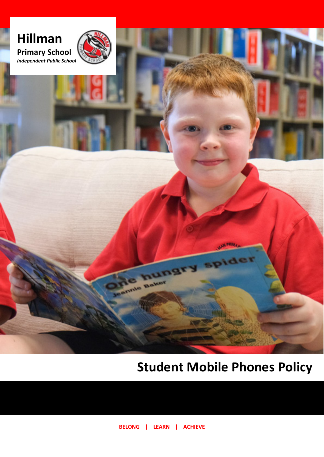

# **Student Mobile Phones Policy**

**BELONG | LEARN | ACHIEVE**